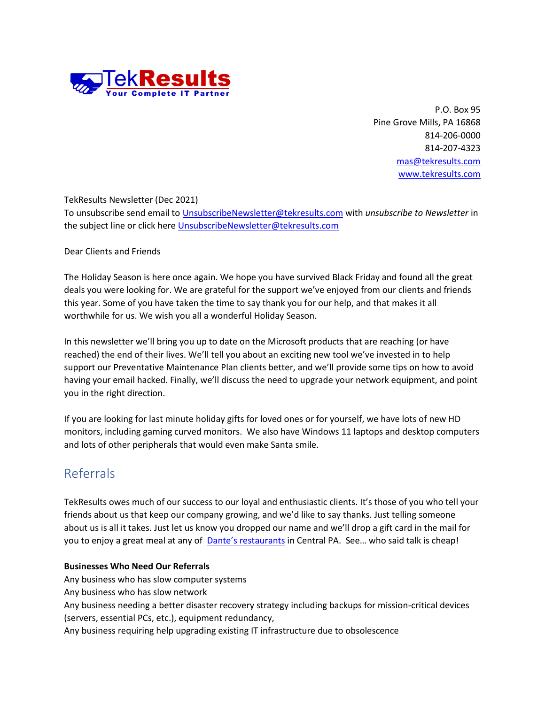

P.O. Box 95 Pine Grove Mills, PA 16868 814-206-0000 814-207-4323 [mas@tekresults.com](mailto:mas@tekresults.com) [www.tekresults.com](http://www.tekresults.com/)

#### TekResults Newsletter (Dec 2021)

To unsubscribe send email to [UnsubscribeNewsletter@tekresults.com](mailto:UnsubscribeNewsletter@tekresults.com) with *unsubscribe to Newsletter* in the subject line or click here [UnsubscribeNewsletter@tekresults.com](mailto:UnsubscribeNewsletter@tekresults.com)

#### Dear Clients and Friends

The Holiday Season is here once again. We hope you have survived Black Friday and found all the great deals you were looking for. We are grateful for the support we've enjoyed from our clients and friends this year. Some of you have taken the time to say thank you for our help, and that makes it all worthwhile for us. We wish you all a wonderful Holiday Season.

In this newsletter we'll bring you up to date on the Microsoft products that are reaching (or have reached) the end of their lives. We'll tell you about an exciting new tool we've invested in to help support our Preventative Maintenance Plan clients better, and we'll provide some tips on how to avoid having your email hacked. Finally, we'll discuss the need to upgrade your network equipment, and point you in the right direction.

If you are looking for last minute holiday gifts for loved ones or for yourself, we have lots of new HD monitors, including gaming curved monitors. We also have Windows 11 laptops and desktop computers and lots of other peripherals that would even make Santa smile.

# Referrals

TekResults owes much of our success to our loyal and enthusiastic clients. It's those of you who tell your friends about us that keep our company growing, and we'd like to say thanks. Just telling someone about us is all it takes. Just let us know you dropped our name and we'll drop a gift card in the mail for you to enjoy a great meal at any of [Dante's restaurant](http://www.dantesinc.com/locations/)s in Central PA. See... who said talk is cheap!

#### **Businesses Who Need Our Referrals**

Any business who has slow computer systems Any business who has slow network Any business needing a better disaster recovery strategy including backups for mission-critical devices (servers, essential PCs, etc.), equipment redundancy, Any business requiring help upgrading existing IT infrastructure due to obsolescence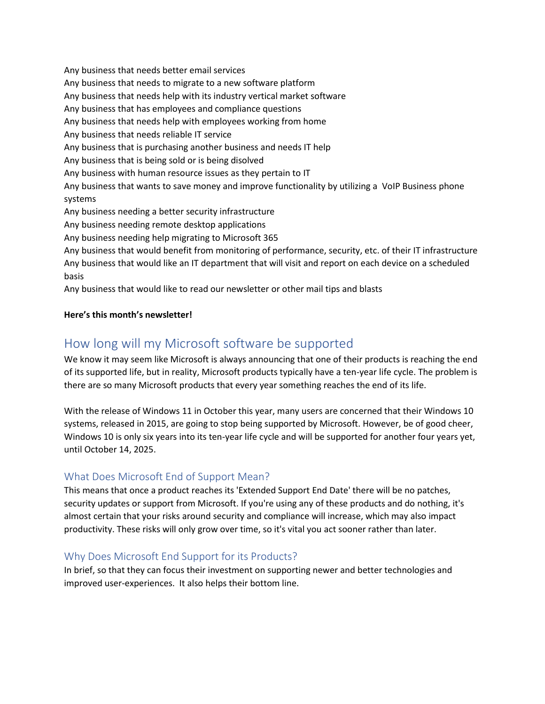Any business that needs better email services Any business that needs to migrate to a new software platform Any business that needs help with its industry vertical market software Any business that has employees and compliance questions Any business that needs help with employees working from home Any business that needs reliable IT service Any business that is purchasing another business and needs IT help Any business that is being sold or is being disolved Any business with human resource issues as they pertain to IT Any business that wants to save money and improve functionality by utilizing a VoIP Business phone systems Any business needing a better security infrastructure Any business needing remote desktop applications Any business needing help migrating to Microsoft 365 Any business that would benefit from monitoring of performance, security, etc. of their IT infrastructure Any business that would like an IT department that will visit and report on each device on a scheduled basis Any business that would like to read our newsletter or other mail tips and blasts

#### **Here's this month's newsletter!**

# How long will my Microsoft software be supported

We know it may seem like Microsoft is always announcing that one of their products is reaching the end of its supported life, but in reality, Microsoft products typically have a ten-year life cycle. The problem is there are so many Microsoft products that every year something reaches the end of its life.

With the release of Windows 11 in October this year, many users are concerned that their Windows 10 systems, released in 2015, are going to stop being supported by Microsoft. However, be of good cheer, Windows 10 is only six years into its ten-year life cycle and will be supported for another four years yet, until October 14, 2025.

# What Does Microsoft End of Support Mean?

This means that once a product reaches its 'Extended Support End Date' there will be no patches, security updates or support from Microsoft. If you're using any of these products and do nothing, it's almost certain that your risks around security and compliance will increase, which may also impact productivity. These risks will only grow over time, so it's vital you act sooner rather than later.

# Why Does Microsoft End Support for its Products?

In brief, so that they can focus their investment on supporting newer and better technologies and improved user-experiences. It also helps their bottom line.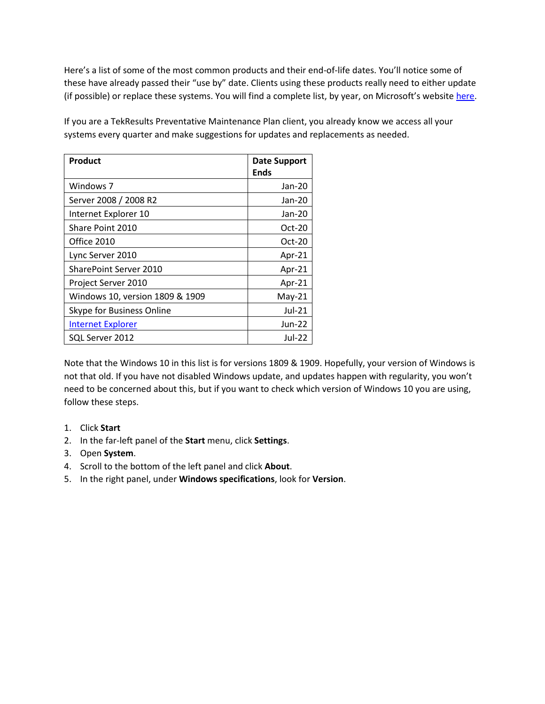Here's a list of some of the most common products and their end-of-life dates. You'll notice some of these have already passed their "use by" date. Clients using these products really need to either update (if possible) or replace these systems. You will find a complete list, by year, on Microsoft's website [here.](https://docs.microsoft.com/en-us/lifecycle/end-of-support/end-of-support-2021)

If you are a TekResults Preventative Maintenance Plan client, you already know we access all your systems every quarter and make suggestions for updates and replacements as needed.

| <b>Product</b>                  | <b>Date Support</b><br>Ends |
|---------------------------------|-----------------------------|
|                                 |                             |
| Windows 7                       | Jan-20                      |
| Server 2008 / 2008 R2           | Jan-20                      |
| Internet Explorer 10            | Jan-20                      |
| Share Point 2010                | $Oct-20$                    |
| Office 2010                     | Oct-20                      |
| Lync Server 2010                | Apr-21                      |
| <b>SharePoint Server 2010</b>   | Apr-21                      |
| Project Server 2010             | Apr-21                      |
| Windows 10, version 1809 & 1909 | $May-21$                    |
| Skype for Business Online       | Jul-21                      |
| <b>Internet Explorer</b>        | Jun-22                      |
| SQL Server 2012                 | Jul-22                      |

Note that the Windows 10 in this list is for versions 1809 & 1909. Hopefully, your version of Windows is not that old. If you have not disabled Windows update, and updates happen with regularity, you won't need to be concerned about this, but if you want to check which version of Windows 10 you are using, follow these steps.

- 1. Click **Start**
- 2. In the far-left panel of the **Start** menu, click **Settings**.
- 3. Open **System**.
- 4. Scroll to the bottom of the left panel and click **About**.
- 5. In the right panel, under **Windows specifications**, look for **Version**.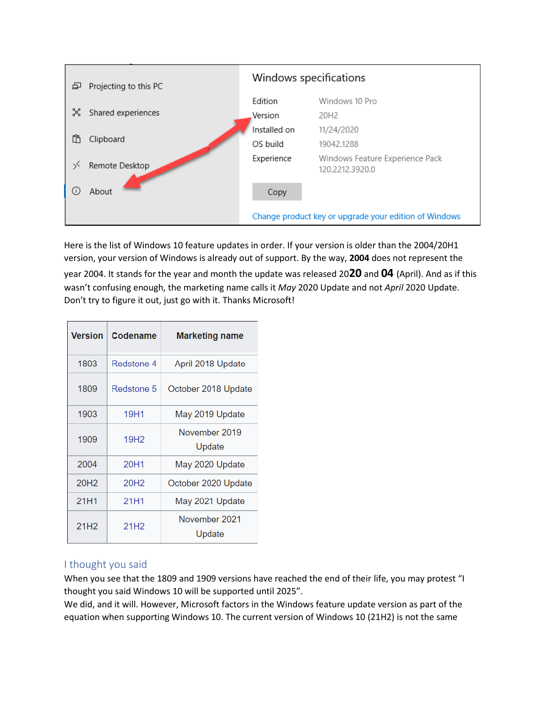

Here is the list of Windows 10 feature updates in order. If your version is older than the 2004/20H1 version, your version of Windows is already out of support. By the way, **2004** does not represent the year 2004. It stands for the year and month the update was released 20**20** and **04** (April). And as if this wasn't confusing enough, the marketing name calls it *May* 2020 Update and not *April* 2020 Update. Don't try to figure it out, just go with it. Thanks Microsoft!

| Version          | <b>Codename</b>  | <b>Marketing name</b>   |
|------------------|------------------|-------------------------|
| 1803             | Redstone 4       | April 2018 Update       |
| 1809             | Redstone 5       | October 2018 Update     |
| 1903             | 19H1             | May 2019 Update         |
| 1909             | 19H <sub>2</sub> | November 2019<br>Update |
| 2004             | 20H1             | May 2020 Update         |
| 20H <sub>2</sub> | 20H <sub>2</sub> | October 2020 Update     |
| 21H1             | 21H1             | May 2021 Update         |
| 21H <sub>2</sub> | 21H <sub>2</sub> | November 2021<br>Update |

# I thought you said

When you see that the 1809 and 1909 versions have reached the end of their life, you may protest "I thought you said Windows 10 will be supported until 2025".

We did, and it will. However, Microsoft factors in the Windows feature update version as part of the equation when supporting Windows 10. The current version of Windows 10 (21H2) is not the same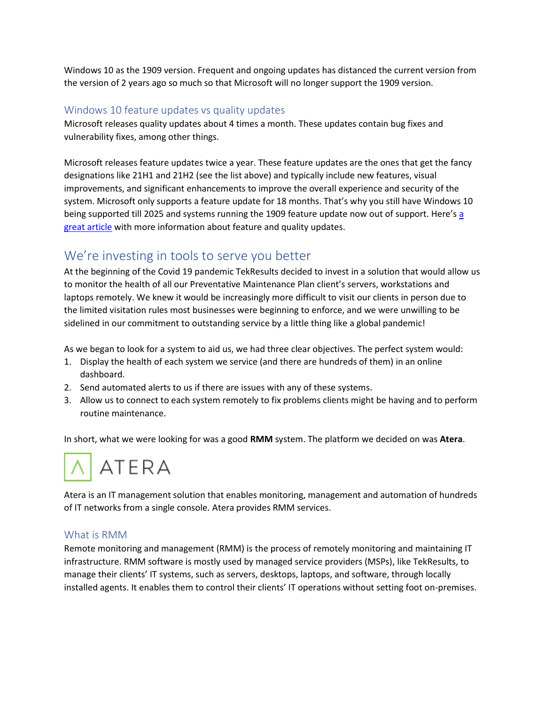Windows 10 as the 1909 version. Frequent and ongoing updates has distanced the current version from the version of 2 years ago so much so that Microsoft will no longer support the 1909 version.

# Windows 10 feature updates vs quality updates

Microsoft releases quality updates about 4 times a month. These updates contain bug fixes and vulnerability fixes, among other things.

Microsoft releases feature updates twice a year. These feature updates are the ones that get the fancy designations like 21H1 and 21H2 (see the list above) and typically include new features, visual improvements, and significant enhancements to improve the overall experience and security of the system. Microsoft only supports a feature update for 18 months. That's why you still have Windows 10 being supported till 2025 and systems running the 1909 feature update now out of support. Here's a [great article](https://www.windowscentral.com/whats-difference-between-quality-updates-and-feature-updates-windows-10) with more information about feature and quality updates.

# We're investing in tools to serve you better

At the beginning of the Covid 19 pandemic TekResults decided to invest in a solution that would allow us to monitor the health of all our Preventative Maintenance Plan client's servers, workstations and laptops remotely. We knew it would be increasingly more difficult to visit our clients in person due to the limited visitation rules most businesses were beginning to enforce, and we were unwilling to be sidelined in our commitment to outstanding service by a little thing like a global pandemic!

As we began to look for a system to aid us, we had three clear objectives. The perfect system would:

- 1. Display the health of each system we service (and there are hundreds of them) in an online dashboard.
- 2. Send automated alerts to us if there are issues with any of these systems.
- 3. Allow us to connect to each system remotely to fix problems clients might be having and to perform routine maintenance.

In short, what we were looking for was a good **RMM** system. The platform we decided on was **Atera**.



Atera is an IT management solution that enables monitoring, management and automation of hundreds of IT networks from a single console. Atera provides RMM services.

# What is RMM

Remote monitoring and management (RMM) is the process of remotely monitoring and maintaining IT infrastructure. RMM software is mostly used by managed service providers (MSPs), like TekResults, to manage their clients' IT systems, such as servers, desktops, laptops, and software, through locally installed agents. It enables them to control their clients' IT operations without setting foot on-premises.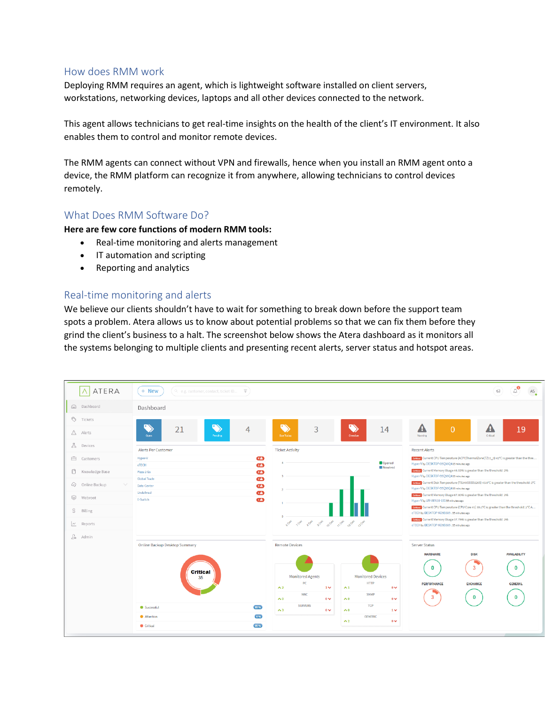#### How does RMM work

Deploying RMM requires an agent, which is lightweight software installed on client servers, workstations, networking devices, laptops and all other devices connected to the network.

This agent allows technicians to get real-time insights on the health of the client's IT environment. It also enables them to control and monitor remote devices.

The RMM agents can connect without VPN and firewalls, hence when you install an RMM agent onto a device, the RMM platform can recognize it from anywhere, allowing technicians to control devices remotely.

# What Does RMM Software Do?

**Here are few core functions of modern RMM tools:**

- Real-time monitoring and alerts management
- IT automation and scripting
- Reporting and analytics

### Real-time monitoring and alerts

We believe our clients shouldn't have to wait for something to break down before the support team spots a problem. Atera allows us to know about potential problems so that we can fix them before they grind the client's business to a halt. The screenshot below shows the Atera dashboard as it monitors all the systems belonging to multiple clients and presenting recent alerts, server status and hotspot areas.

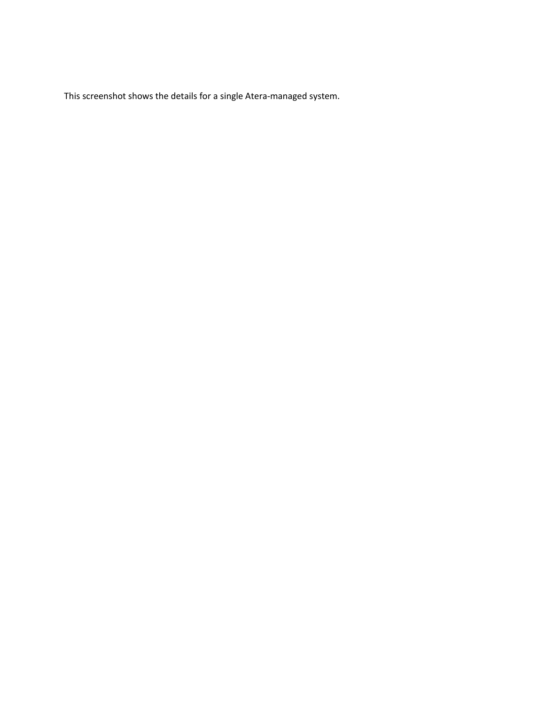This screenshot shows the details for a single Atera-managed system.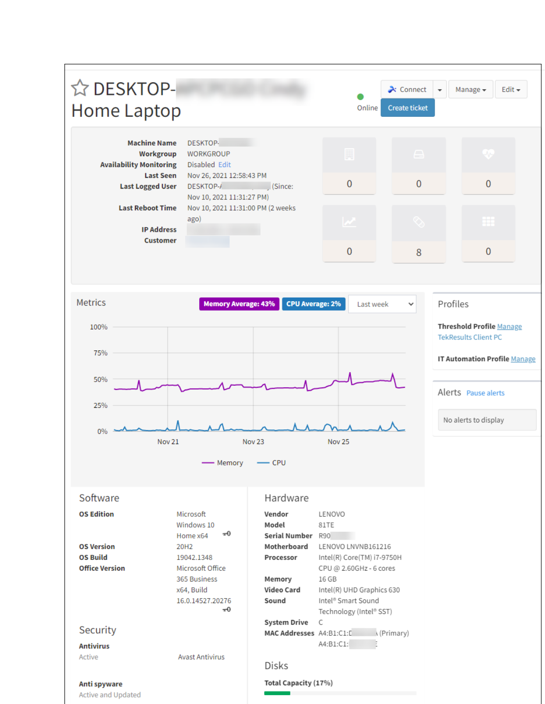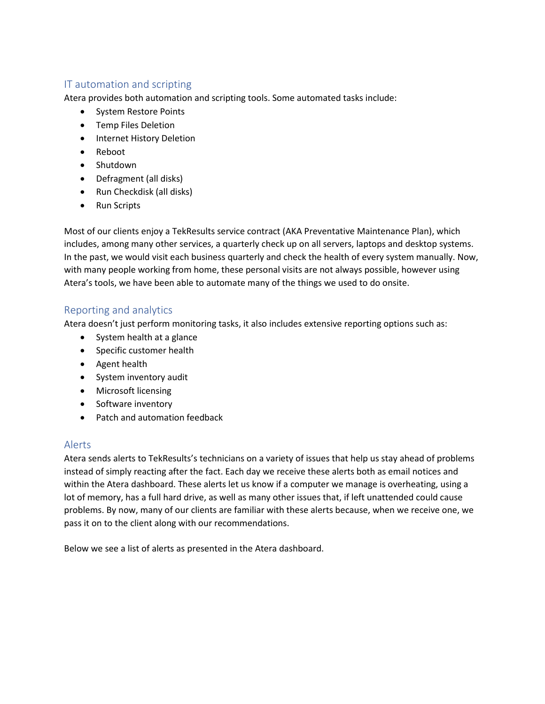# IT automation and scripting

Atera provides both automation and scripting tools. Some automated tasks include:

- System Restore Points
- Temp Files Deletion
- Internet History Deletion
- Reboot
- Shutdown
- Defragment (all disks)
- Run Checkdisk (all disks)
- Run Scripts

Most of our clients enjoy a TekResults service contract (AKA Preventative Maintenance Plan), which includes, among many other services, a quarterly check up on all servers, laptops and desktop systems. In the past, we would visit each business quarterly and check the health of every system manually. Now, with many people working from home, these personal visits are not always possible, however using Atera's tools, we have been able to automate many of the things we used to do onsite.

# Reporting and analytics

Atera doesn't just perform monitoring tasks, it also includes extensive reporting options such as:

- System health at a glance
- Specific customer health
- Agent health
- System inventory audit
- Microsoft licensing
- Software inventory
- Patch and automation feedback

# Alerts

Atera sends alerts to TekResults's technicians on a variety of issues that help us stay ahead of problems instead of simply reacting after the fact. Each day we receive these alerts both as email notices and within the Atera dashboard. These alerts let us know if a computer we manage is overheating, using a lot of memory, has a full hard drive, as well as many other issues that, if left unattended could cause problems. By now, many of our clients are familiar with these alerts because, when we receive one, we pass it on to the client along with our recommendations.

Below we see a list of alerts as presented in the Atera dashboard.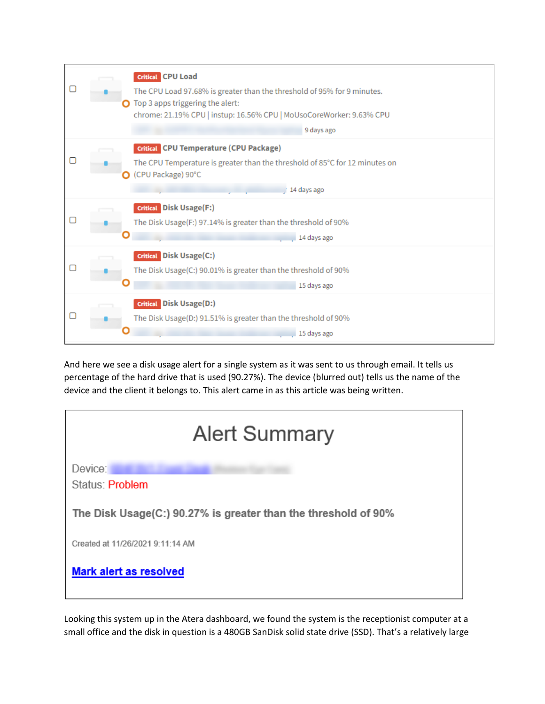|  | <b>Critical</b> CPU Load<br>The CPU Load 97.68% is greater than the threshold of 95% for 9 minutes.<br>Top 3 apps triggering the alert:<br>chrome: 21.19% CPU   instup: 16.56% CPU   MoUsoCoreWorker: 9.63% CPU<br>9 days ago |
|--|-------------------------------------------------------------------------------------------------------------------------------------------------------------------------------------------------------------------------------|
|  | <b>Critical</b> CPU Temperature (CPU Package)<br>The CPU Temperature is greater than the threshold of 85°C for 12 minutes on<br>(CPU Package) 90°C<br>/ 14 days ago                                                           |
|  | <b>Critical</b> Disk Usage(F:)<br>The Disk Usage(F:) 97.14% is greater than the threshold of 90%<br>14 days ago                                                                                                               |
|  | <b>Critical</b> Disk Usage(C:)<br>The Disk Usage(C:) 90.01% is greater than the threshold of 90%<br>15 days ago                                                                                                               |
|  | <b>Critical</b> Disk Usage(D:)<br>The Disk Usage(D:) 91.51% is greater than the threshold of 90%<br>15 days ago                                                                                                               |

And here we see a disk usage alert for a single system as it was sent to us through email. It tells us percentage of the hard drive that is used (90.27%). The device (blurred out) tells us the name of the device and the client it belongs to. This alert came in as this article was being written.

| <b>Alert Summary</b>                                           |  |  |
|----------------------------------------------------------------|--|--|
| Device:<br>Status: Problem                                     |  |  |
| The Disk Usage(C:) 90.27% is greater than the threshold of 90% |  |  |
| Created at 11/26/2021 9:11:14 AM                               |  |  |
| <b>Mark alert as resolved</b>                                  |  |  |

Looking this system up in the Atera dashboard, we found the system is the receptionist computer at a small office and the disk in question is a 480GB SanDisk solid state drive (SSD). That's a relatively large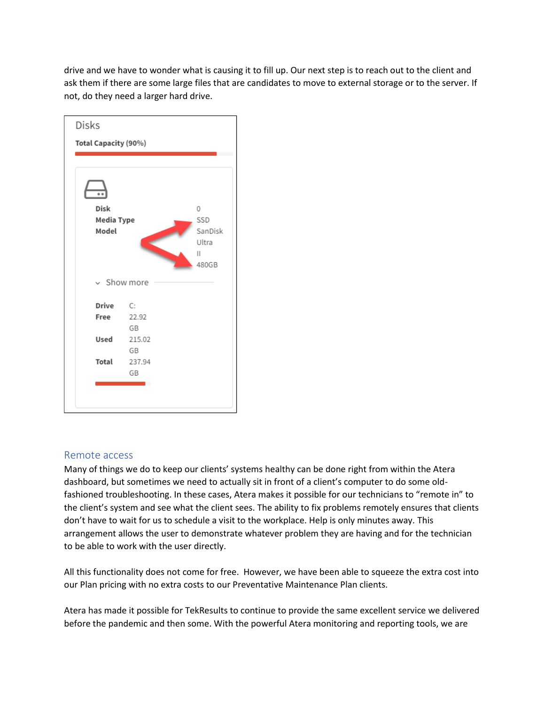drive and we have to wonder what is causing it to fill up. Our next step is to reach out to the client and ask them if there are some large files that are candidates to move to external storage or to the server. If not, do they need a larger hard drive.



#### Remote access

Many of things we do to keep our clients' systems healthy can be done right from within the Atera dashboard, but sometimes we need to actually sit in front of a client's computer to do some oldfashioned troubleshooting. In these cases, Atera makes it possible for our technicians to "remote in" to the client's system and see what the client sees. The ability to fix problems remotely ensures that clients don't have to wait for us to schedule a visit to the workplace. Help is only minutes away. This arrangement allows the user to demonstrate whatever problem they are having and for the technician to be able to work with the user directly.

All this functionality does not come for free. However, we have been able to squeeze the extra cost into our Plan pricing with no extra costs to our Preventative Maintenance Plan clients.

Atera has made it possible for TekResults to continue to provide the same excellent service we delivered before the pandemic and then some. With the powerful Atera monitoring and reporting tools, we are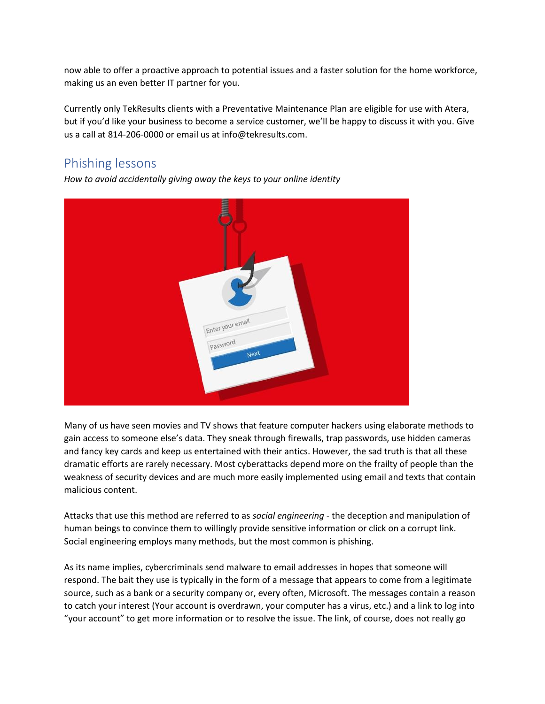now able to offer a proactive approach to potential issues and a faster solution for the home workforce, making us an even better IT partner for you.

Currently only TekResults clients with a Preventative Maintenance Plan are eligible for use with Atera, but if you'd like your business to become a service customer, we'll be happy to discuss it with you. Give us a call at 814-206-0000 or email us at info@tekresults.com.

# Phishing lessons

*How to avoid accidentally giving away the keys to your online identity*



Many of us have seen movies and TV shows that feature computer hackers using elaborate methods to gain access to someone else's data. They sneak through firewalls, trap passwords, use hidden cameras and fancy key cards and keep us entertained with their antics. However, the sad truth is that all these dramatic efforts are rarely necessary. Most cyberattacks depend more on the frailty of people than the weakness of security devices and are much more easily implemented using email and texts that contain malicious content.

Attacks that use this method are referred to as *social engineering* - the deception and manipulation of human beings to convince them to willingly provide sensitive information or click on a corrupt link. Social engineering employs many methods, but the most common is phishing.

As its name implies, cybercriminals send malware to email addresses in hopes that someone will respond. The bait they use is typically in the form of a message that appears to come from a legitimate source, such as a bank or a security company or, every often, Microsoft. The messages contain a reason to catch your interest (Your account is overdrawn, your computer has a virus, etc.) and a link to log into "your account" to get more information or to resolve the issue. The link, of course, does not really go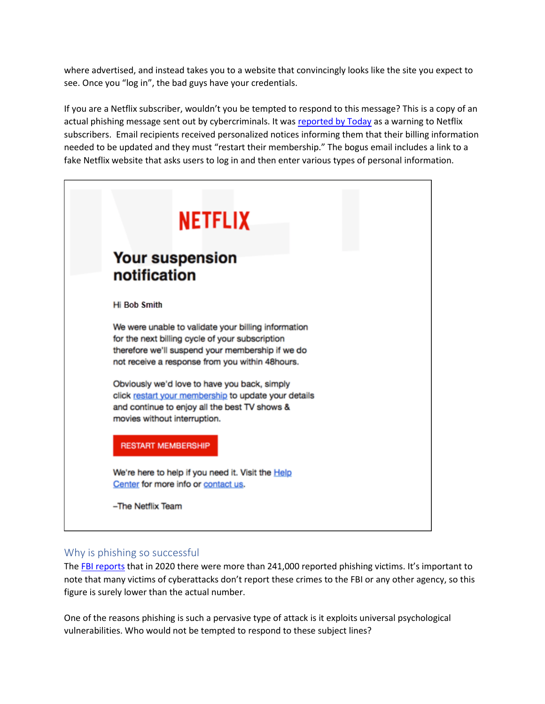where advertised, and instead takes you to a website that convincingly looks like the site you expect to see. Once you "log in", the bad guys have your credentials.

If you are a Netflix subscriber, wouldn't you be tempted to respond to this message? This is a copy of an actual phishing message sent out by cybercriminals. It was [reported by Today](https://www.today.com/money/netflix-users-are-being-targeted-email-scam-what-you-need-t118477) as a warning to Netflix subscribers. Email recipients received personalized notices informing them that their billing information needed to be updated and they must "restart their membership." The bogus email includes a link to a fake Netflix website that asks users to log in and then enter various types of personal information.



# Why is phishing so successful

The [FBI reports](https://www.ic3.gov/Media/PDF/AnnualReport/2020_IC3Report.pdf) that in 2020 there were more than 241,000 reported phishing victims. It's important to note that many victims of cyberattacks don't report these crimes to the FBI or any other agency, so this figure is surely lower than the actual number.

One of the reasons phishing is such a pervasive type of attack is it exploits universal psychological vulnerabilities. Who would not be tempted to respond to these subject lines?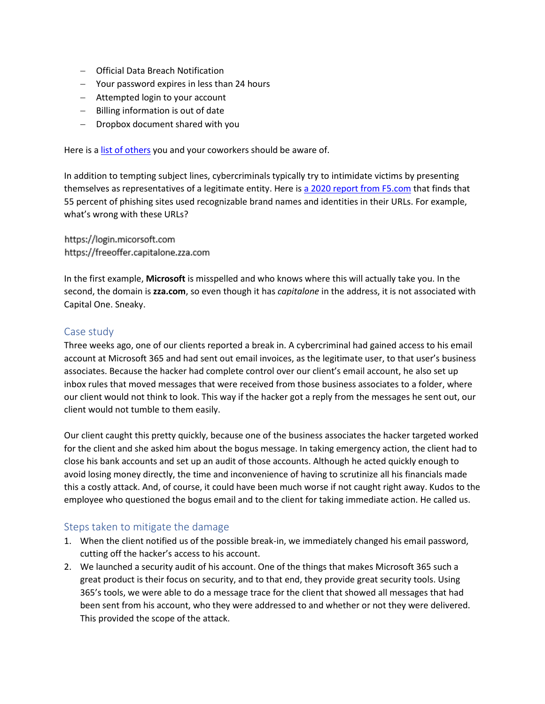- − Official Data Breach Notification
- − Your password expires in less than 24 hours
- − Attempted login to your account
- − Billing information is out of date
- − Dropbox document shared with you

Here is a [list of others](https://resources.infosecinstitute.com/topic/11-phishing-email-subject-lines-your-employees-need-to-recognize/) you and your coworkers should be aware of.

In addition to tempting subject lines, cybercriminals typically try to intimidate victims by presenting themselves as representatives of a legitimate entity. Here i[s a 2020 report from F5.com](https://www.f5.com/labs/articles/threat-intelligence/2020-phishing-and-fraud-report) that finds that 55 percent of phishing sites used recognizable brand names and identities in their URLs. For example, what's wrong with these URLs?

https://login.micorsoft.com https://freeoffer.capitalone.zza.com

In the first example, **Microsoft** is misspelled and who knows where this will actually take you. In the second, the domain is **zza.com**, so even though it has *capitalone* in the address, it is not associated with Capital One. Sneaky.

# Case study

Three weeks ago, one of our clients reported a break in. A cybercriminal had gained access to his email account at Microsoft 365 and had sent out email invoices, as the legitimate user, to that user's business associates. Because the hacker had complete control over our client's email account, he also set up inbox rules that moved messages that were received from those business associates to a folder, where our client would not think to look. This way if the hacker got a reply from the messages he sent out, our client would not tumble to them easily.

Our client caught this pretty quickly, because one of the business associates the hacker targeted worked for the client and she asked him about the bogus message. In taking emergency action, the client had to close his bank accounts and set up an audit of those accounts. Although he acted quickly enough to avoid losing money directly, the time and inconvenience of having to scrutinize all his financials made this a costly attack. And, of course, it could have been much worse if not caught right away. Kudos to the employee who questioned the bogus email and to the client for taking immediate action. He called us.

# Steps taken to mitigate the damage

- 1. When the client notified us of the possible break-in, we immediately changed his email password, cutting off the hacker's access to his account.
- 2. We launched a security audit of his account. One of the things that makes Microsoft 365 such a great product is their focus on security, and to that end, they provide great security tools. Using 365's tools, we were able to do a message trace for the client that showed all messages that had been sent from his account, who they were addressed to and whether or not they were delivered. This provided the scope of the attack.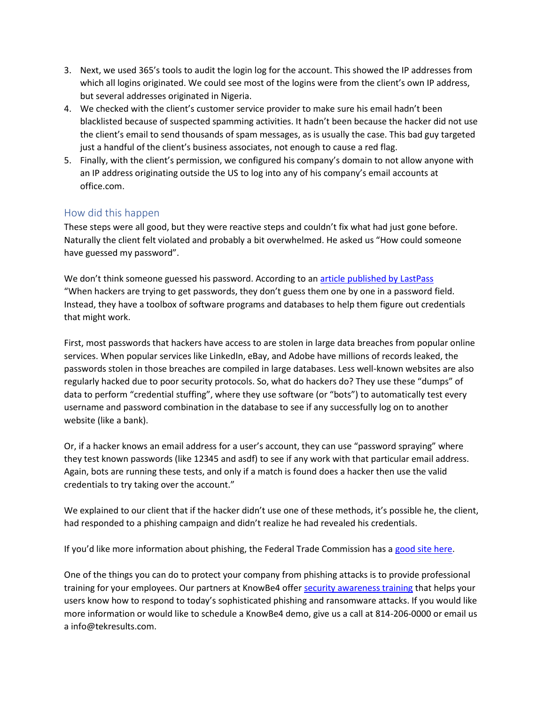- 3. Next, we used 365's tools to audit the login log for the account. This showed the IP addresses from which all logins originated. We could see most of the logins were from the client's own IP address, but several addresses originated in Nigeria.
- 4. We checked with the client's customer service provider to make sure his email hadn't been blacklisted because of suspected spamming activities. It hadn't been because the hacker did not use the client's email to send thousands of spam messages, as is usually the case. This bad guy targeted just a handful of the client's business associates, not enough to cause a red flag.
- 5. Finally, with the client's permission, we configured his company's domain to not allow anyone with an IP address originating outside the US to log into any of his company's email accounts at office.com.

# How did this happen

These steps were all good, but they were reactive steps and couldn't fix what had just gone before. Naturally the client felt violated and probably a bit overwhelmed. He asked us "How could someone have guessed my password".

We don't think someone guessed his password. According to an [article published by LastPass](https://blog.lastpass.com/2020/10/how-do-hackers-get-passwords/) "When hackers are trying to get passwords, they don't guess them one by one in a password field. Instead, they have a toolbox of software programs and databases to help them figure out credentials that might work.

First, most passwords that hackers have access to are stolen in large data breaches from popular online services. When popular services like LinkedIn, eBay, and Adobe have millions of records leaked, the passwords stolen in those breaches are compiled in large databases. Less well-known websites are also regularly hacked due to poor security protocols. So, what do hackers do? They use these "dumps" of data to perform "credential stuffing", where they use software (or "bots") to automatically test every username and password combination in the database to see if any successfully log on to another website (like a bank).

Or, if a hacker knows an email address for a user's account, they can use "password spraying" where they test known passwords (like 12345 and asdf) to see if any work with that particular email address. Again, bots are running these tests, and only if a match is found does a hacker then use the valid credentials to try taking over the account."

We explained to our client that if the hacker didn't use one of these methods, it's possible he, the client, had responded to a phishing campaign and didn't realize he had revealed his credentials.

If you'd like more information about phishing, the Federal Trade Commission has a [good site here.](https://www.consumer.ftc.gov/articles/how-recognize-and-avoid-phishing-scams)

One of the things you can do to protect your company from phishing attacks is to provide professional training for your employees. Our partners at KnowBe4 offe[r security awareness training](https://www.knowbe4.com/products/kevin-mitnick-security-awareness-training/) that helps your users know how to respond to today's sophisticated phishing and ransomware attacks. If you would like more information or would like to schedule a KnowBe4 demo, give us a call at 814-206-0000 or email us a info@tekresults.com.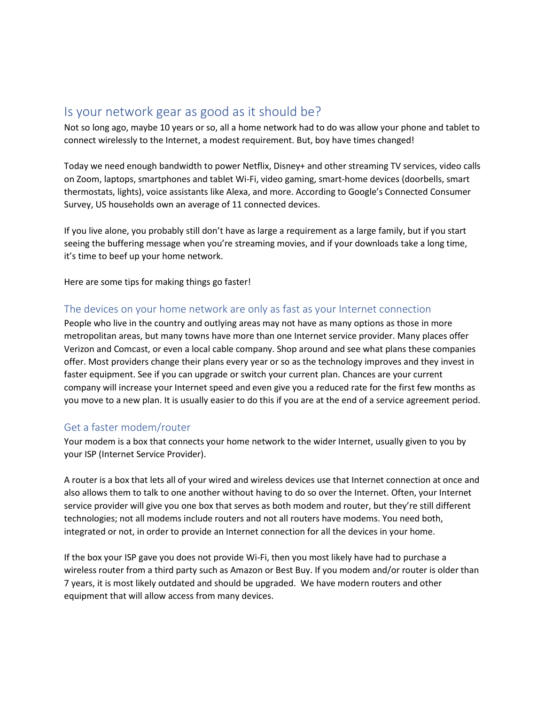# Is your network gear as good as it should be?

Not so long ago, maybe 10 years or so, all a home network had to do was allow your phone and tablet to connect wirelessly to the Internet, a modest requirement. But, boy have times changed!

Today we need enough bandwidth to power Netflix, Disney+ and other streaming TV services, video calls on Zoom, laptops, smartphones and tablet Wi-Fi, video gaming, smart-home devices (doorbells, smart thermostats, lights), voice assistants like Alexa, and more. According to Google's Connected Consumer Survey, US households own an average of 11 connected devices.

If you live alone, you probably still don't have as large a requirement as a large family, but if you start seeing the buffering message when you're streaming movies, and if your downloads take a long time, it's time to beef up your home network.

Here are some tips for making things go faster!

#### The devices on your home network are only as fast as your Internet connection

People who live in the country and outlying areas may not have as many options as those in more metropolitan areas, but many towns have more than one Internet service provider. Many places offer Verizon and Comcast, or even a local cable company. Shop around and see what plans these companies offer. Most providers change their plans every year or so as the technology improves and they invest in faster equipment. See if you can upgrade or switch your current plan. Chances are your current company will increase your Internet speed and even give you a reduced rate for the first few months as you move to a new plan. It is usually easier to do this if you are at the end of a service agreement period.

#### Get a faster modem/router

Your modem is a box that connects your home network to the wider Internet, usually given to you by your ISP (Internet Service Provider).

A router is a box that lets all of your wired and wireless devices use that Internet connection at once and also allows them to talk to one another without having to do so over the Internet. Often, your Internet service provider will give you one box that serves as both modem and router, but they're still different technologies; not all modems include routers and not all routers have modems. You need both, integrated or not, in order to provide an Internet connection for all the devices in your home.

If the box your ISP gave you does not provide Wi-Fi, then you most likely have had to purchase a wireless router from a third party such as Amazon or Best Buy. If you modem and/or router is older than 7 years, it is most likely outdated and should be upgraded. We have modern routers and other equipment that will allow access from many devices.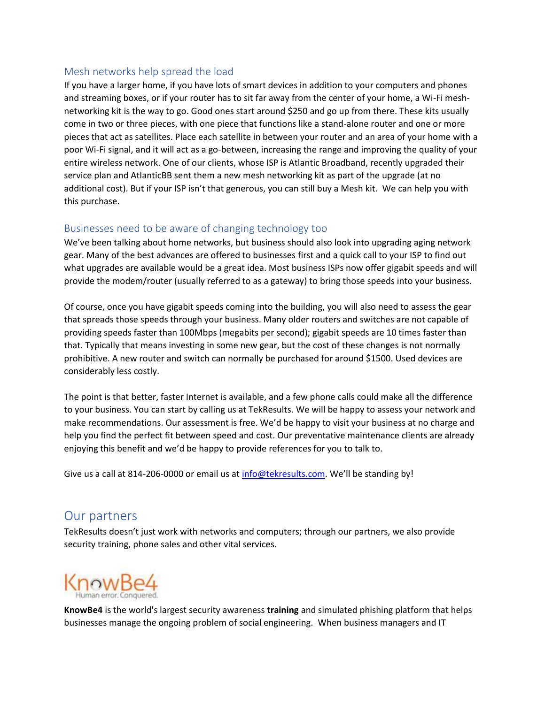# Mesh networks help spread the load

If you have a larger home, if you have lots of smart devices in addition to your computers and phones and streaming boxes, or if your router has to sit far away from the center of your home, a Wi-Fi meshnetworking kit is the way to go. Good ones start around \$250 and go up from there. These kits usually come in two or three pieces, with one piece that functions like a stand-alone router and one or more pieces that act as satellites. Place each satellite in between your router and an area of your home with a poor Wi-Fi signal, and it will act as a go-between, increasing the range and improving the quality of your entire wireless network. One of our clients, whose ISP is Atlantic Broadband, recently upgraded their service plan and AtlanticBB sent them a new mesh networking kit as part of the upgrade (at no additional cost). But if your ISP isn't that generous, you can still buy a Mesh kit. We can help you with this purchase.

# Businesses need to be aware of changing technology too

We've been talking about home networks, but business should also look into upgrading aging network gear. Many of the best advances are offered to businesses first and a quick call to your ISP to find out what upgrades are available would be a great idea. Most business ISPs now offer gigabit speeds and will provide the modem/router (usually referred to as a gateway) to bring those speeds into your business.

Of course, once you have gigabit speeds coming into the building, you will also need to assess the gear that spreads those speeds through your business. Many older routers and switches are not capable of providing speeds faster than 100Mbps (megabits per second); gigabit speeds are 10 times faster than that. Typically that means investing in some new gear, but the cost of these changes is not normally prohibitive. A new router and switch can normally be purchased for around \$1500. Used devices are considerably less costly.

The point is that better, faster Internet is available, and a few phone calls could make all the difference to your business. You can start by calling us at TekResults. We will be happy to assess your network and make recommendations. Our assessment is free. We'd be happy to visit your business at no charge and help you find the perfect fit between speed and cost. Our preventative maintenance clients are already enjoying this benefit and we'd be happy to provide references for you to talk to.

Give us a call at 814-206-0000 or email us at [info@tekresults.com](mailto:info@tekresults.com). We'll be standing by!

# Our partners

TekResults doesn't just work with networks and computers; through our partners, we also provide security training, phone sales and other vital services.



**KnowBe4** is the world's largest security awareness **training** and simulated phishing platform that helps businesses manage the ongoing problem of social engineering. When business managers and IT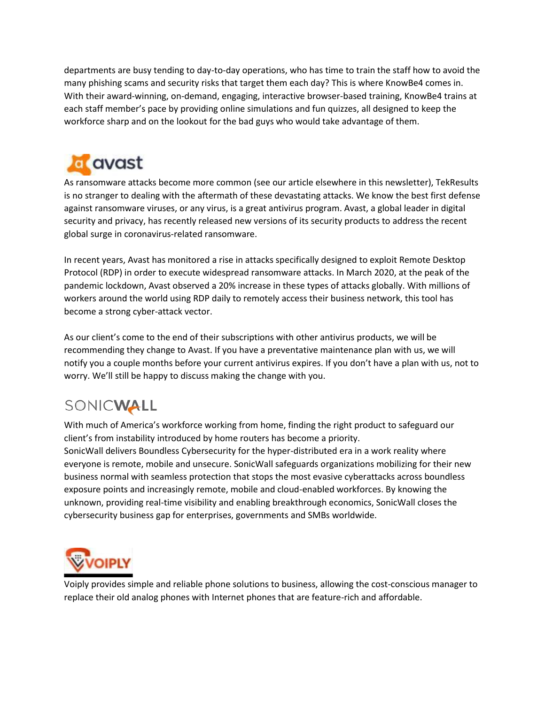departments are busy tending to day-to-day operations, who has time to train the staff how to avoid the many phishing scams and security risks that target them each day? This is where KnowBe4 comes in. With their award-winning, on-demand, engaging, interactive browser-based training, KnowBe4 trains at each staff member's pace by providing online simulations and fun quizzes, all designed to keep the workforce sharp and on the lookout for the bad guys who would take advantage of them.



As ransomware attacks become more common (see our article elsewhere in this newsletter), TekResults is no stranger to dealing with the aftermath of these devastating attacks. We know the best first defense against ransomware viruses, or any virus, is a great antivirus program. Avast, a global leader in digital security and privacy, has recently released new versions of its security products to address the recent global surge in coronavirus-related ransomware.

In recent years, Avast has monitored a rise in attacks specifically designed to exploit Remote Desktop Protocol (RDP) in order to execute widespread ransomware attacks. In March 2020, at the peak of the pandemic lockdown, Avast observed a 20% increase in these types of attacks globally. With millions of workers around the world using RDP daily to remotely access their business network, this tool has become a strong cyber-attack vector.

As our client's come to the end of their subscriptions with other antivirus products, we will be recommending they change to Avast. If you have a preventative maintenance plan with us, we will notify you a couple months before your current antivirus expires. If you don't have a plan with us, not to worry. We'll still be happy to discuss making the change with you.

# SONICWALL

With much of America's workforce working from home, finding the right product to safeguard our client's from instability introduced by home routers has become a priority. SonicWall delivers Boundless Cybersecurity for the hyper-distributed era in a work reality where everyone is remote, mobile and unsecure. SonicWall safeguards organizations mobilizing for their new business normal with seamless protection that stops the most evasive cyberattacks across boundless exposure points and increasingly remote, mobile and cloud-enabled workforces. By knowing the unknown, providing real-time visibility and enabling breakthrough economics, SonicWall closes the cybersecurity business gap for enterprises, governments and SMBs worldwide.



Voiply provides simple and reliable phone solutions to business, allowing the cost-conscious manager to replace their old analog phones with Internet phones that are feature-rich and affordable.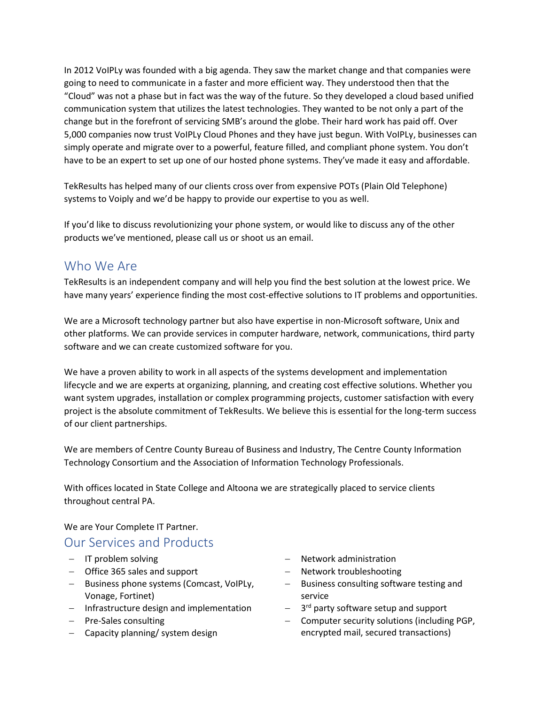In 2012 VoIPLy was founded with a big agenda. They saw the market change and that companies were going to need to communicate in a faster and more efficient way. They understood then that the "Cloud" was not a phase but in fact was the way of the future. So they developed a cloud based unified communication system that utilizes the latest technologies. They wanted to be not only a part of the change but in the forefront of servicing SMB's around the globe. Their hard work has paid off. Over 5,000 companies now trust VoIPLy Cloud Phones and they have just begun. With VoIPLy, businesses can simply operate and migrate over to a powerful, feature filled, and compliant phone system. You don't have to be an expert to set up one of our hosted phone systems. They've made it easy and affordable.

TekResults has helped many of our clients cross over from expensive POTs (Plain Old Telephone) systems to Voiply and we'd be happy to provide our expertise to you as well.

If you'd like to discuss revolutionizing your phone system, or would like to discuss any of the other products we've mentioned, please call us or shoot us an email.

# Who We Are

TekResults is an independent company and will help you find the best solution at the lowest price. We have many years' experience finding the most cost-effective solutions to IT problems and opportunities.

We are a Microsoft technology partner but also have expertise in non-Microsoft software, Unix and other platforms. We can provide services in computer hardware, network, communications, third party software and we can create customized software for you.

We have a proven ability to work in all aspects of the systems development and implementation lifecycle and we are experts at organizing, planning, and creating cost effective solutions. Whether you want system upgrades, installation or complex programming projects, customer satisfaction with every project is the absolute commitment of TekResults. We believe this is essential for the long-term success of our client partnerships.

We are members of Centre County Bureau of Business and Industry, The Centre County Information Technology Consortium and the Association of Information Technology Professionals.

With offices located in State College and Altoona we are strategically placed to service clients throughout central PA.

We are Your Complete IT Partner.

# Our Services and Products

- − IT problem solving
- − Office 365 sales and support
- − Business phone systems (Comcast, VoIPLy, Vonage, Fortinet)
- − Infrastructure design and implementation
- − Pre-Sales consulting
- − Capacity planning/ system design
- − Network administration
- − Network troubleshooting
- − Business consulting software testing and service
- − 3 rd party software setup and support
- − Computer security solutions (including PGP, encrypted mail, secured transactions)